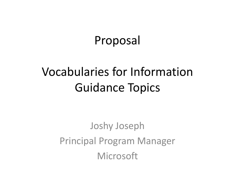#### Proposal

### Vocabularies for Information Guidance Topics

Joshy Joseph Principal Program Manager Microsoft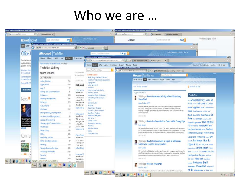#### Who we are ...

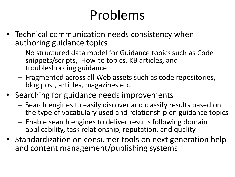## Problems

- Technical communication needs consistency when authoring guidance topics
	- No structured data model for Guidance topics such as Code snippets/scripts, How-to topics, KB articles, and troubleshooting guidance
	- Fragmented across all Web assets such as code repositories, blog post, articles, magazines etc.
- Searching for guidance needs improvements
	- Search engines to easily discover and classify results based on the type of vocabulary used and relationship on guidance topics
	- Enable search engines to deliver results following domain applicability, task relationship, reputation, and quality
- Standardization on consumer tools on next generation help and content management/publishing systems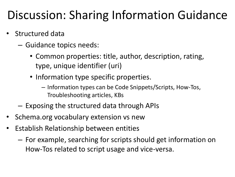#### Discussion: Sharing Information Guidance

- Structured data
	- Guidance topics needs:
		- Common properties: title, author, description, rating, type, unique identifier (uri)
		- Information type specific properties.
			- Information types can be Code Snippets/Scripts, How-Tos, Troubleshooting articles, KBs
	- Exposing the structured data through APIs
- Schema.org vocabulary extension vs new
- Establish Relationship between entities
	- For example, searching for scripts should get information on How-Tos related to script usage and vice-versa.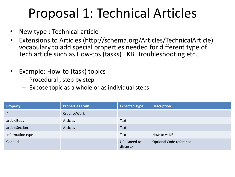### Proposal 1: Technical Articles

- New type : Technical article
- Extensions to Articles (http://schema.org/Articles/TechnicalArticle) vocabulary to add special properties needed for different type of Tech article such as How-tos (tasks) , KB, Troubleshooting etc.,
- Example: How-to (task) topics
	- Procedural , step by step
	- Expose topic as a whole or as individual steps

| <b>Property</b>  | <b>Properties From</b> | <b>Expected Type</b>                  | <b>Description</b>      |
|------------------|------------------------|---------------------------------------|-------------------------|
| $\ast$           | <b>CreativeWork</b>    |                                       |                         |
| articleBody      | Articles               | Text                                  |                         |
| articleSection   | Articles               | <b>Text</b>                           |                         |
| Information type |                        | Text                                  | How-to vs KB            |
| Codeurl          |                        | URL <need to<br="">discuss&gt;</need> | Optional Code reference |